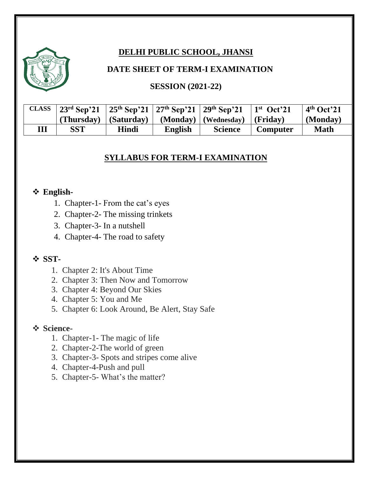# **DELHI PUBLIC SCHOOL, JHANSI**

#### **DATE SHEET OF TERM-I EXAMINATION**

#### **SESSION (2021-22)**

| <b>CLASS</b> |            |              |         | 23 <sup>rd</sup> Sep'21   25 <sup>th</sup> Sep'21   27 <sup>th</sup> Sep'21   29 <sup>th</sup> Sep'21   1 <sup>st</sup> Oct'21 |                 | $\vert$ 4 <sup>th</sup> Oct <sup>2</sup> 21 |
|--------------|------------|--------------|---------|--------------------------------------------------------------------------------------------------------------------------------|-----------------|---------------------------------------------|
|              |            |              |         | (Thursday) $ $ (Saturday) $ $ (Monday) $ $ (Wednesday) $ $ (Friday)                                                            |                 | $\vert$ (Monday)                            |
| Ш            | <b>SST</b> | <b>Hindi</b> | English | <b>Science</b>                                                                                                                 | <b>Computer</b> | <b>Math</b>                                 |

#### **SYLLABUS FOR TERM-I EXAMINATION**

#### ❖ **English-**

- 1. Chapter-1- From the cat's eyes
- 2. Chapter-2- The missing trinkets
- 3. Chapter-3- In a nutshell
- 4. Chapter-4- The road to safety

#### ❖ **SST-**

- 1. Chapter 2: It's About Time
- 2. Chapter 3: Then Now and Tomorrow
- 3. Chapter 4: Beyond Our Skies
- 4. Chapter 5: You and Me
- 5. Chapter 6: Look Around, Be Alert, Stay Safe

#### ❖ **Science-**

- 1. Chapter-1- The magic of life
- 2. Chapter-2-The world of green
- 3. Chapter-3- Spots and stripes come alive
- 4. Chapter-4-Push and pull
- 5. Chapter-5- What's the matter?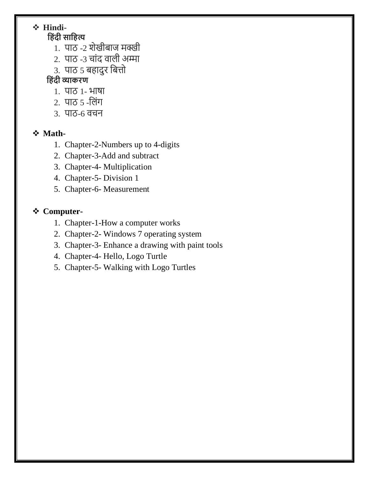# ❖ **Hindi-**

## **ह िंदी साह त्य**

- 1. पाठ -2 शेखीबाज मक्खी
- $2.$  पाठ -3 चांद वाली अम्मा
- 3. पाठ 5 बहादुर बित्तो

## **ह िंदी व्याकरण**

- 1. पाठ 1- भाषा
- 2. पाठ 5 -बलांग
- 3. पाठ-6 वचन

### ❖ **Math-**

- 1. Chapter-2-Numbers up to 4-digits
- 2. Chapter-3-Add and subtract
- 3. Chapter-4- Multiplication
- 4. Chapter-5- Division 1
- 5. Chapter-6- Measurement

## ❖ **Computer-**

- 1. Chapter-1-How a computer works
- 2. Chapter-2- Windows 7 operating system
- 3. Chapter-3- Enhance a drawing with paint tools
- 4. Chapter-4- Hello, Logo Turtle
- 5. Chapter-5- Walking with Logo Turtles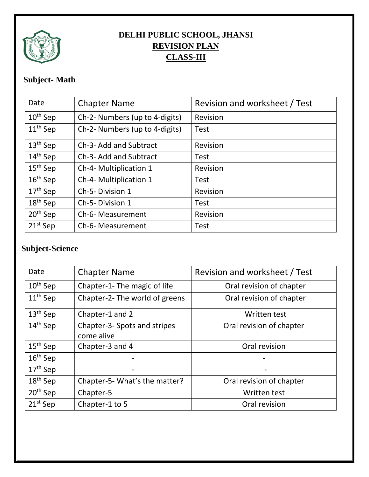

# **DELHI PUBLIC SCHOOL, JHANSI REVISION PLAN CLASS-III**

# **Subject- Math**

| Date                 | <b>Chapter Name</b>            | Revision and worksheet / Test |
|----------------------|--------------------------------|-------------------------------|
| $10^{th}$ Sep        | Ch-2- Numbers (up to 4-digits) | Revision                      |
| $11th$ Sep           | Ch-2- Numbers (up to 4-digits) | <b>Test</b>                   |
| $13th$ Sep           | Ch-3- Add and Subtract         | Revision                      |
| $14th$ Sep           | Ch-3- Add and Subtract         | <b>Test</b>                   |
| $15th$ Sep           | Ch-4- Multiplication 1         | Revision                      |
| $16th$ Sep           | Ch-4- Multiplication 1         | <b>Test</b>                   |
| $17th$ Sep           | Ch-5-Division 1                | Revision                      |
| $18th$ Sep           | Ch-5-Division 1                | <b>Test</b>                   |
| 20 <sup>th</sup> Sep | Ch-6- Measurement              | Revision                      |
| $21^{st}$ Sep        | Ch-6- Measurement              | <b>Test</b>                   |

# **Subject-Science**

| Date                 | <b>Chapter Name</b>                        | Revision and worksheet / Test |
|----------------------|--------------------------------------------|-------------------------------|
| $10^{th}$ Sep        | Chapter-1- The magic of life               | Oral revision of chapter      |
| $11th$ Sep           | Chapter-2- The world of greens             | Oral revision of chapter      |
| $13th$ Sep           | Chapter-1 and 2                            | Written test                  |
| $14th$ Sep           | Chapter-3- Spots and stripes<br>come alive | Oral revision of chapter      |
| $15th$ Sep           | Chapter-3 and 4                            | Oral revision                 |
| $16th$ Sep           |                                            |                               |
| $17th$ Sep           |                                            |                               |
| 18 <sup>th</sup> Sep | Chapter-5- What's the matter?              | Oral revision of chapter      |
| $20th$ Sep           | Chapter-5                                  | Written test                  |
| $21st$ Sep           | Chapter-1 to 5                             | Oral revision                 |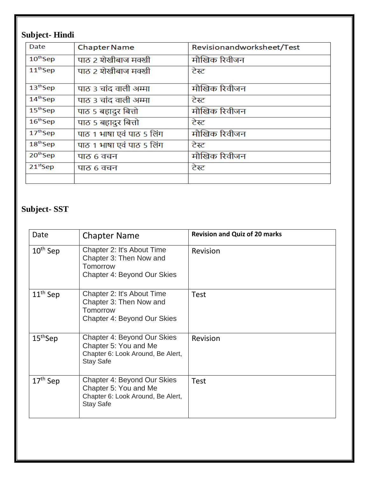# **Subject- Hindi**

| Date          | <b>Chapter Name</b>       | Revisionandworksheet/Test |
|---------------|---------------------------|---------------------------|
| $10^{th}$ Sep | पाठ 2 शेखीबाज मक्खी       | मौखिक रिवीजन              |
| $11th$ Sep    | पाठ 2 शेखीबाज मक्खी       | टेस्ट                     |
| $13th$ Sep    | पाठ 3 चांद वाली अम्मा     | मौखिक रिवीजन              |
| $14th$ Sep    | पाठ 3 चांद वाली अम्मा     | टेस्ट                     |
| $15th$ Sep    | पाठ 5 बहादुर बित्तो       | मौखिक रिवीजन              |
| $16th$ Sep    | पाठ 5 बहादुर बित्तो       | टेस्ट                     |
| $17th$ Sep    | पाठ 1 भाषा एवं पाठ 5 लिंग | मौखिक रिवीजन              |
| $18th$ Sep    | पाठ 1 भाषा एवं पाठ 5 लिंग | टेस्ट                     |
| $20th$ Sep    | पाठ ६ वचन                 | मौखिक रिवीजन              |
| $21st$ Sep    | पाठ 6 वचन                 | टेस्ट                     |
|               |                           |                           |

# **Subject- SST**

| Date       | <b>Chapter Name</b>                                                                                           | <b>Revision and Quiz of 20 marks</b> |
|------------|---------------------------------------------------------------------------------------------------------------|--------------------------------------|
| $10th$ Sep | Chapter 2: It's About Time<br>Chapter 3: Then Now and<br>Tomorrow<br>Chapter 4: Beyond Our Skies              | Revision                             |
| $11th$ Sep | Chapter 2: It's About Time<br>Chapter 3: Then Now and<br>Tomorrow<br>Chapter 4: Beyond Our Skies              | <b>Test</b>                          |
| $15th$ Sep | Chapter 4: Beyond Our Skies<br>Chapter 5: You and Me<br>Chapter 6: Look Around, Be Alert,<br><b>Stay Safe</b> | Revision                             |
| $17th$ Sep | Chapter 4: Beyond Our Skies<br>Chapter 5: You and Me<br>Chapter 6: Look Around, Be Alert,<br><b>Stay Safe</b> | <b>Test</b>                          |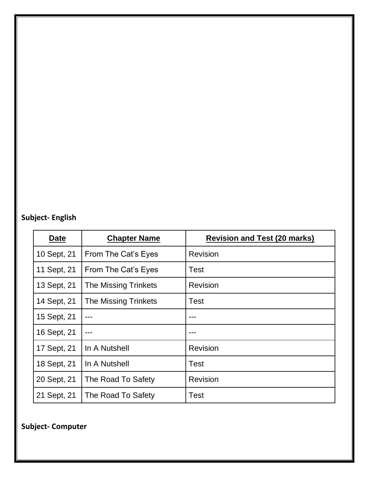# **Subject- English**

| Date        | <b>Chapter Name</b>         | <b>Revision and Test (20 marks)</b> |
|-------------|-----------------------------|-------------------------------------|
| 10 Sept, 21 | From The Cat's Eyes         | <b>Revision</b>                     |
| 11 Sept, 21 | From The Cat's Eyes         | <b>Test</b>                         |
| 13 Sept, 21 | <b>The Missing Trinkets</b> | <b>Revision</b>                     |
| 14 Sept, 21 | <b>The Missing Trinkets</b> | <b>Test</b>                         |
| 15 Sept, 21 |                             |                                     |
| 16 Sept, 21 |                             |                                     |
| 17 Sept, 21 | In A Nutshell               | <b>Revision</b>                     |
| 18 Sept, 21 | In A Nutshell               | <b>Test</b>                         |
| 20 Sept, 21 | The Road To Safety          | <b>Revision</b>                     |
| 21 Sept, 21 | The Road To Safety          | <b>Test</b>                         |

**Subject- Computer**